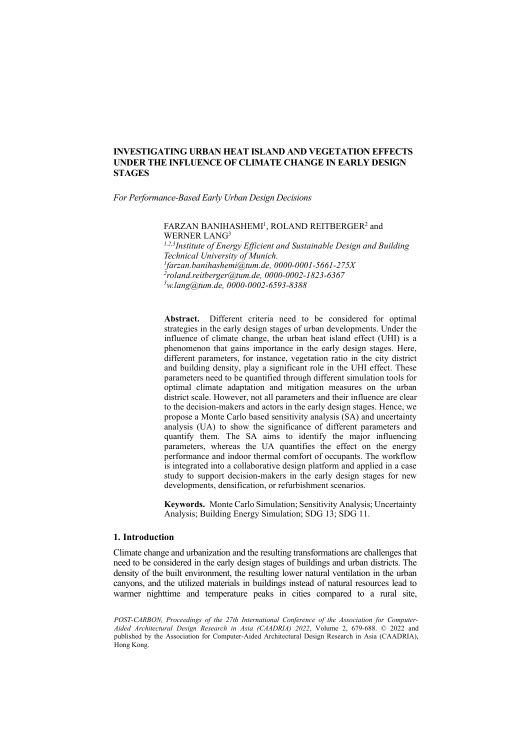*For Performance-Based Early Urban Design Decisions*

FARZAN BANIHASHEMI<sup>1</sup>, ROLAND REITBERGER<sup>2</sup> and WERNER LANG<sup>3</sup>

*1,2,3Institute of Energy Efficient and Sustainable Design and Building Technical University of Munich. 1 [farzan.banihashemi@tum.de,](mailto:1farzan.banihashemi@tum.de) 0000-0001-5661-275X 2 [roland.reitberger@tum.de,](mailto:2roland.reitberger@tum.de) 0000-0002-1823-6367 3 [w.lang@tum.de,](mailto:3w.lang@tum.de) 0000-0002-6593-8388* 

**Abstract.** Different criteria need to be considered for optimal strategies in the early design stages of urban developments. Under the influence of climate change, the urban heat island effect (UHI) is a phenomenon that gains importance in the early design stages. Here, different parameters, for instance, vegetation ratio in the city district and building density, play a significant role in the UHI effect. These parameters need to be quantified through different simulation tools for optimal climate adaptation and mitigation measures on the urban district scale. However, not all parameters and their influence are clear to the decision-makers and actors in the early design stages. Hence, we propose a Monte Carlo based sensitivity analysis (SA) and uncertainty analysis (UA) to show the significance of different parameters and quantify them. The SA aims to identify the major influencing parameters, whereas the UA quantifies the effect on the energy performance and indoor thermal comfort of occupants. The workflow is integrated into a collaborative design platform and applied in a case study to support decision-makers in the early design stages for new developments, densification, or refurbishment scenarios.

**Keywords.** Monte Carlo Simulation; Sensitivity Analysis; Uncertainty Analysis; Building Energy Simulation; SDG 13; SDG 11.

#### **1. Introduction**

Climate change and urbanization and the resulting transformations are challenges that need to be considered in the early design stages of buildings and urban districts. The density of the built environment, the resulting lower natural ventilation in the urban canyons, and the utilized materials in buildings instead of natural resources lead to warmer nighttime and temperature peaks in cities compared to a rural site,

*POST-CARBON, Proceedings of the 27th International Conference of the Association for Computer-Aided Architectural Design Research in Asia (CAADRIA) 2022*, Volume 2, 679-688. © 2022 and published by the Association for Computer-Aided Architectural Design Research in Asia (CAADRIA), Hong Kong.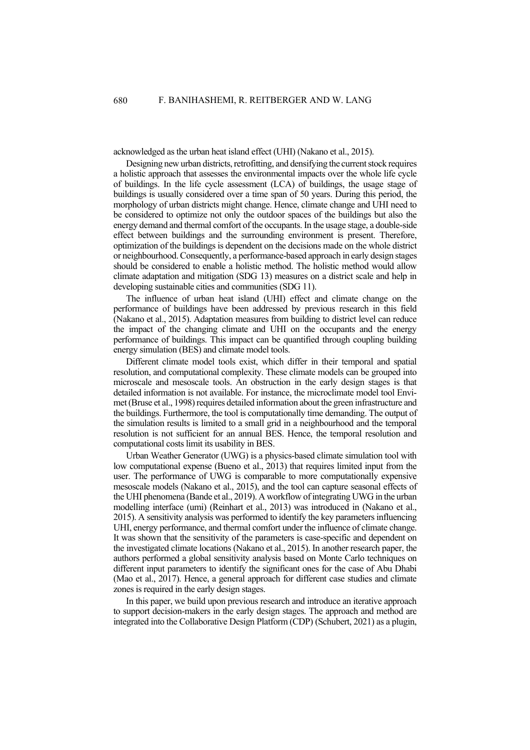acknowledged as the urban heat island effect (UHI) (Nakano et al., 2015).

Designing new urban districts, retrofitting, and densifying the current stock requires a holistic approach that assesses the environmental impacts over the whole life cycle of buildings. In the life cycle assessment (LCA) of buildings, the usage stage of buildings is usually considered over a time span of 50 years. During this period, the morphology of urban districts might change. Hence, climate change and UHI need to be considered to optimize not only the outdoor spaces of the buildings but also the energy demand and thermal comfort of the occupants. In the usage stage, a double-side effect between buildings and the surrounding environment is present. Therefore, optimization of the buildings is dependent on the decisions made on the whole district or neighbourhood. Consequently, a performance-based approach in early design stages should be considered to enable a holistic method. The holistic method would allow climate adaptation and mitigation (SDG 13) measures on a district scale and help in developing sustainable cities and communities (SDG 11).

The influence of urban heat island (UHI) effect and climate change on the performance of buildings have been addressed by previous research in this field (Nakano et al., 2015). Adaptation measures from building to district level can reduce the impact of the changing climate and UHI on the occupants and the energy performance of buildings. This impact can be quantified through coupling building energy simulation (BES) and climate model tools.

Different climate model tools exist, which differ in their temporal and spatial resolution, and computational complexity. These climate models can be grouped into microscale and mesoscale tools. An obstruction in the early design stages is that detailed information is not available. For instance, the microclimate model tool Envimet (Bruse et al., 1998) requires detailed information about the green infrastructure and the buildings. Furthermore, the tool is computationally time demanding. The output of the simulation results is limited to a small grid in a neighbourhood and the temporal resolution is not sufficient for an annual BES. Hence, the temporal resolution and computational costs limit its usability in BES.

Urban Weather Generator (UWG) is a physics-based climate simulation tool with low computational expense (Bueno et al., 2013) that requires limited input from the user. The performance of UWG is comparable to more computationally expensive mesoscale models (Nakano et al., 2015), and the tool can capture seasonal effects of the UHI phenomena (Bande et al., 2019). A workflow of integrating UWG in the urban modelling interface (umi) (Reinhart et al., 2013) was introduced in (Nakano et al., 2015). A sensitivity analysis was performed to identify the key parameters influencing UHI, energy performance, and thermal comfort under the influence of climate change. It was shown that the sensitivity of the parameters is case-specific and dependent on the investigated climate locations (Nakano et al., 2015). In another research paper, the authors performed a global sensitivity analysis based on Monte Carlo techniques on different input parameters to identify the significant ones for the case of Abu Dhabi (Mao et al., 2017). Hence, a general approach for different case studies and climate zones is required in the early design stages.

In this paper, we build upon previous research and introduce an iterative approach to support decision-makers in the early design stages. The approach and method are integrated into the Collaborative Design Platform (CDP) (Schubert, 2021) as a plugin,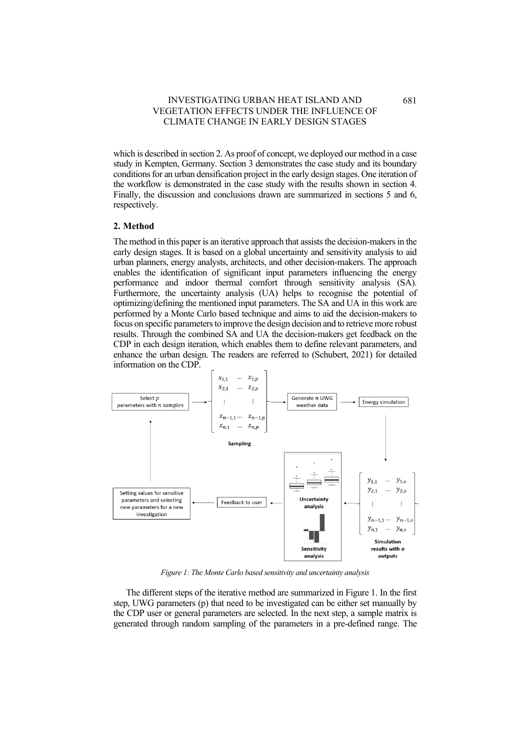which is described in section 2. As proof of concept, we deployed our method in a case study in Kempten, Germany. Section 3 demonstrates the case study and its boundary conditions for an urban densification project in the early design stages. One iteration of the workflow is demonstrated in the case study with the results shown in section 4. Finally, the discussion and conclusions drawn are summarized in sections 5 and 6, respectively.

## **2. Method**

The method in this paper is an iterative approach that assists the decision-makers in the early design stages. It is based on a global uncertainty and sensitivity analysis to aid urban planners, energy analysts, architects, and other decision-makers. The approach enables the identification of significant input parameters influencing the energy performance and indoor thermal comfort through sensitivity analysis (SA). Furthermore, the uncertainty analysis (UA) helps to recognise the potential of optimizing/defining the mentioned input parameters. The SA and UA in this work are performed by a Monte Carlo based technique and aims to aid the decision-makers to focus on specific parameters to improve the design decision and to retrieve more robust results. Through the combined SA and UA the decision-makers get feedback on the CDP in each design iteration, which enables them to define relevant parameters, and enhance the urban design. The readers are referred to (Schubert, 2021) for detailed information on the CDP.



*Figure 1: The Monte Carlo based sensitivity and uncertainty analysis* 

The different steps of the iterative method are summarized in Figure 1. In the first step, UWG parameters (p) that need to be investigated can be either set manually by the CDP user or general parameters are selected. In the next step, a sample matrix is generated through random sampling of the parameters in a pre-defined range. The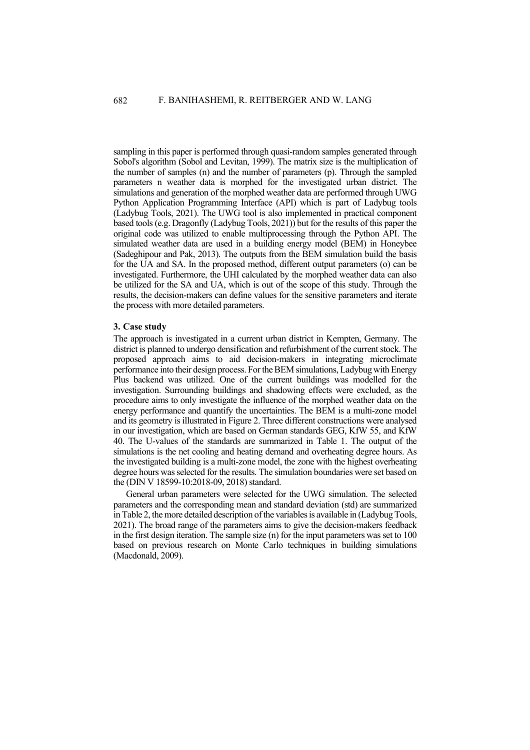sampling in this paper is performed through quasi-random samples generated through Sobol's algorithm (Sobol and Levitan, 1999). The matrix size is the multiplication of the number of samples (n) and the number of parameters (p). Through the sampled parameters n weather data is morphed for the investigated urban district. The simulations and generation of the morphed weather data are performed through UWG Python Application Programming Interface (API) which is part of Ladybug tools (Ladybug Tools, 2021). The UWG tool is also implemented in practical component based tools (e.g. Dragonfly (Ladybug Tools, 2021)) but for the results of this paper the original code was utilized to enable multiprocessing through the Python API. The simulated weather data are used in a building energy model (BEM) in Honeybee (Sadeghipour and Pak, 2013). The outputs from the BEM simulation build the basis for the UA and SA. In the proposed method, different output parameters (o) can be investigated. Furthermore, the UHI calculated by the morphed weather data can also be utilized for the SA and UA, which is out of the scope of this study. Through the results, the decision-makers can define values for the sensitive parameters and iterate the process with more detailed parameters.

#### **3. Case study**

The approach is investigated in a current urban district in Kempten, Germany. The district is planned to undergo densification and refurbishment of the current stock. The proposed approach aims to aid decision-makers in integrating microclimate performance into their design process. For the BEM simulations, Ladybug with Energy Plus backend was utilized. One of the current buildings was modelled for the investigation. Surrounding buildings and shadowing effects were excluded, as the procedure aims to only investigate the influence of the morphed weather data on the energy performance and quantify the uncertainties. The BEM is a multi-zone model and its geometry is illustrated in Figure 2. Three different constructions were analysed in our investigation, which are based on German standards GEG, KfW 55, and KfW 40. The U-values of the standards are summarized in Table 1. The output of the simulations is the net cooling and heating demand and overheating degree hours. As the investigated building is a multi-zone model, the zone with the highest overheating degree hours was selected for the results. The simulation boundaries were set based on the (DIN V 18599-10:2018-09, 2018) standard.

General urban parameters were selected for the UWG simulation. The selected parameters and the corresponding mean and standard deviation (std) are summarized in Table 2, the more detailed description of the variables is available in (Ladybug Tools, 2021). The broad range of the parameters aims to give the decision-makers feedback in the first design iteration. The sample size (n) for the input parameters was set to 100 based on previous research on Monte Carlo techniques in building simulations (Macdonald, 2009).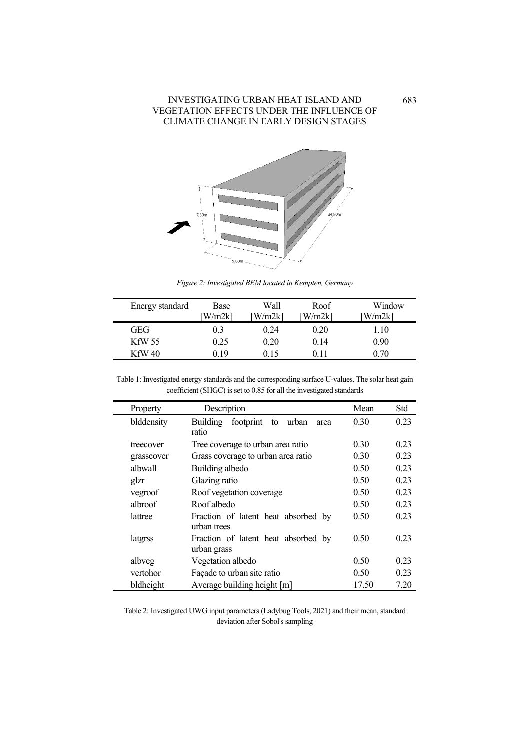

*Figure 2: Investigated BEM located in Kempten, Germany*

| Energy standard | Base<br>W/m2k1 | Wall<br>W/m2k1 | Roof<br>W/m2k1 | Window<br>W/m2k1 |
|-----------------|----------------|----------------|----------------|------------------|
| GEG             | 0.3            | 0.24           | 0.20           | 1.10             |
| KfW 55          | 0.25           | 0.20           | 0.14           | 0.90             |
| KfW 40          | ) 19           | በ 15           |                | 0.70             |

Table 1: Investigated energy standards and the corresponding surface U-values. The solar heat gain coefficient (SHGC) is set to 0.85 for all the investigated standards

÷,

| Property   | Description                                        | Mean  | Std  |
|------------|----------------------------------------------------|-------|------|
| blddensity | Building<br>footprint<br>to urban<br>area<br>ratio | 0.30  | 0.23 |
| treecover  | Tree coverage to urban area ratio                  | 0.30  | 0.23 |
| grasscover | Grass coverage to urban area ratio                 | 0.30  | 0.23 |
| albwall    | Building albedo                                    | 0.50  | 0.23 |
| glzr       | Glazing ratio                                      | 0.50  | 0.23 |
| vegroof    | Roof vegetation coverage                           | 0.50  | 0.23 |
| albroof    | Roof albedo                                        | 0.50  | 0.23 |
| lattree    | Fraction of latent heat absorbed by<br>urban trees | 0.50  | 0.23 |
| latgrss    | Fraction of latent heat absorbed by<br>urban grass | 0.50  | 0.23 |
| albveg     | Vegetation albedo                                  | 0.50  | 0.23 |
| vertohor   | Façade to urban site ratio                         | 0.50  | 0.23 |
| bldheight  | Average building height [m]                        | 17.50 | 7.20 |

Table 2: Investigated UWG input parameters (Ladybug Tools, 2021) and their mean, standard deviation after Sobol's sampling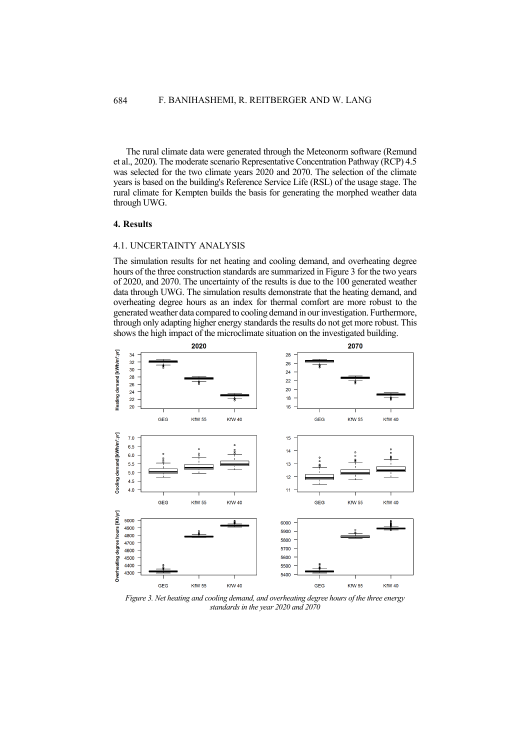The rural climate data were generated through the Meteonorm software (Remund et al., 2020). The moderate scenario Representative Concentration Pathway (RCP) 4.5 was selected for the two climate years 2020 and 2070. The selection of the climate years is based on the building's Reference Service Life (RSL) of the usage stage. The rural climate for Kempten builds the basis for generating the morphed weather data through UWG.

### **4. Results**

### 4.1. UNCERTAINTY ANALYSIS

The simulation results for net heating and cooling demand, and overheating degree hours of the three construction standards are summarized in Figure 3 for the two years of 2020, and 2070. The uncertainty of the results is due to the 100 generated weather data through UWG. The simulation results demonstrate that the heating demand, and overheating degree hours as an index for thermal comfort are more robust to the generated weather data compared to cooling demand in our investigation. Furthermore, through only adapting higher energy standards the results do not get more robust. This shows the high impact of the microclimate situation on the investigated building.



*Figure 3. Net heating and cooling demand, and overheating degree hours of the three energy standards in the year 2020 and 2070*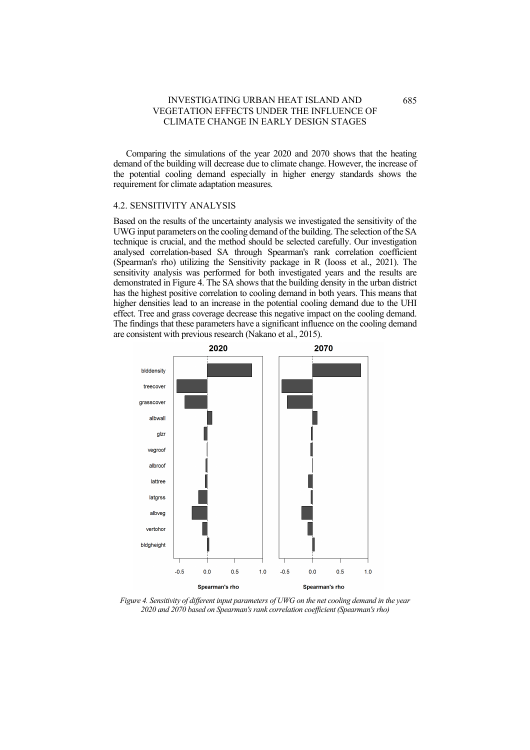Comparing the simulations of the year 2020 and 2070 shows that the heating demand of the building will decrease due to climate change. However, the increase of the potential cooling demand especially in higher energy standards shows the requirement for climate adaptation measures.

#### 4.2. SENSITIVITY ANALYSIS

Based on the results of the uncertainty analysis we investigated the sensitivity of the UWG input parameters on the cooling demand of the building. The selection of the SA technique is crucial, and the method should be selected carefully. Our investigation analysed correlation-based SA through Spearman's rank correlation coefficient (Spearman's rho) utilizing the Sensitivity package in R (Iooss et al., 2021). The sensitivity analysis was performed for both investigated years and the results are demonstrated in Figure 4. The SA shows that the building density in the urban district has the highest positive correlation to cooling demand in both years. This means that higher densities lead to an increase in the potential cooling demand due to the UHI effect. Tree and grass coverage decrease this negative impact on the cooling demand. The findings that these parameters have a significant influence on the cooling demand are consistent with previous research (Nakano et al., 2015).



*Figure 4. Sensitivity of different input parameters of UWG on the net cooling demand in the year 2020 and 2070 based on Spearman's rank correlation coefficient (Spearman's rho)*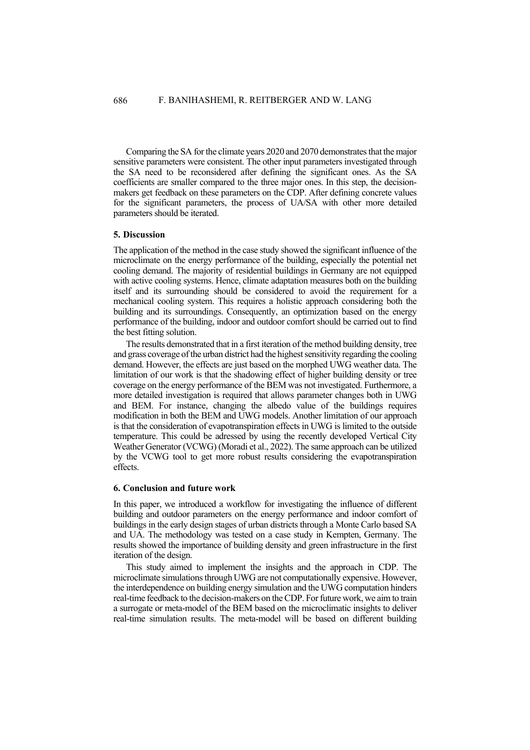Comparing the SA for the climate years 2020 and 2070 demonstrates that the major sensitive parameters were consistent. The other input parameters investigated through the SA need to be reconsidered after defining the significant ones. As the SA coefficients are smaller compared to the three major ones. In this step, the decisionmakers get feedback on these parameters on the CDP. After defining concrete values for the significant parameters, the process of UA/SA with other more detailed parameters should be iterated.

#### **5. Discussion**

The application of the method in the case study showed the significant influence of the microclimate on the energy performance of the building, especially the potential net cooling demand. The majority of residential buildings in Germany are not equipped with active cooling systems. Hence, climate adaptation measures both on the building itself and its surrounding should be considered to avoid the requirement for a mechanical cooling system. This requires a holistic approach considering both the building and its surroundings. Consequently, an optimization based on the energy performance of the building, indoor and outdoor comfort should be carried out to find the best fitting solution.

The results demonstrated that in a first iteration of the method building density, tree and grass coverage of the urban district had the highest sensitivity regarding the cooling demand. However, the effects are just based on the morphed UWG weather data. The limitation of our work is that the shadowing effect of higher building density or tree coverage on the energy performance of the BEM was not investigated. Furthermore, a more detailed investigation is required that allows parameter changes both in UWG and BEM. For instance, changing the albedo value of the buildings requires modification in both the BEM and UWG models. Another limitation of our approach is that the consideration of evapotranspiration effects in UWG is limited to the outside temperature. This could be adressed by using the recently developed Vertical City Weather Generator (VCWG) (Moradi et al., 2022). The same approach can be utilized by the VCWG tool to get more robust results considering the evapotranspiration effects.

#### **6. Conclusion and future work**

In this paper, we introduced a workflow for investigating the influence of different building and outdoor parameters on the energy performance and indoor comfort of buildings in the early design stages of urban districts through a Monte Carlo based SA and UA. The methodology was tested on a case study in Kempten, Germany. The results showed the importance of building density and green infrastructure in the first iteration of the design.

This study aimed to implement the insights and the approach in CDP. The microclimate simulations through UWG are not computationally expensive. However, the interdependence on building energy simulation and the UWG computation hinders real-time feedback to the decision-makers on the CDP. For future work, we aim to train a surrogate or meta-model of the BEM based on the microclimatic insights to deliver real-time simulation results. The meta-model will be based on different building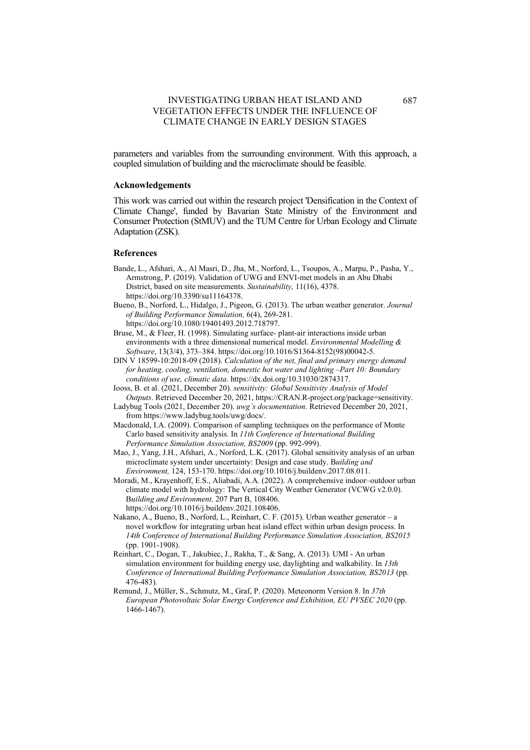parameters and variables from the surrounding environment. With this approach, a coupled simulation of building and the microclimate should be feasible.

### **Acknowledgements**

This work was carried out within the research project 'Densification in the Context of Climate Change', funded by Bavarian State Ministry of the Environment and Consumer Protection (StMUV) and the TUM Centre for Urban Ecology and Climate Adaptation (ZSK).

### **References**

- Bande, L., Afshari, A., Al Masri, D., Jha, M., Norford, L., Tsoupos, A., Marpu, P., Pasha, Y., Armstrong, P. (2019). Validation of UWG and ENVI-met models in an Abu Dhabi District, based on site measurements. *Sustainability,* 11(16), 4378. [https://doi.org/10.3390/su11164378.](https://doi.org/10.3390/su11164378)
- Bueno, B., Norford, L., Hidalgo, J., Pigeon, G. (2013). The urban weather generator. *Journal of Building Performance Simulation,* 6(4), 269-281.

[https://doi.org/10.1080/19401493.2012.718797.](https://doi.org/10.1080/19401493.2012.718797)

- Bruse, M., & Fleer, H. (1998). Simulating surface- plant-air interactions inside urban environments with a three dimensional numerical model. *Environmental Modelling & Software*, 13(3/4), 373–384. https://doi.org/10.1016/S1364-8152(98)00042-5.
- DIN V 18599-10:2018-09 (2018). *Calculation of the net, final and primary energy demand for heating, cooling, ventilation, domestic hot water and lighting –Part 10: Boundary conditions of use, climatic data*[. https://dx.doi.org/10.31030/2874317.](https://dx.doi.org/10.31030/2874317)
- Iooss, B. et al. (2021, December 20). *sensitivity: Global Sensitivity Analysis of Model Outputs*. Retrieved December 20, 2021, [https://CRAN.R-project.org/package=sensitivity.](https://cran.r-project.org/package=sensitivity)
- Ladybug Tools (2021, December 20). *uwg's documentation.* Retrieved December 20, 2021, from https://www.ladybug.tools/uwg/docs/.

Macdonald, I.A. (2009). Comparison of sampling techniques on the performance of Monte Carlo based sensitivity analysis. In *11th Conference of International Building Performance Simulation Association, BS2009* (pp. 992-999).

- Mao, J., Yang, J.H., Afshari, A., Norford, L.K. (2017). Global sensitivity analysis of an urban microclimate system under uncertainty: Design and case study. B*uilding and Environment,* 124, 153-170. [https://doi.org/10.1016/j.buildenv.2017.08.011.](https://doi.org/10.1016/j.buildenv.2017.08.011)
- Moradi, M., Krayenhoff, E.S., Aliabadi, A.A. (2022). A comprehensive indoor–outdoor urban climate model with hydrology: The Vertical City Weather Generator (VCWG v2.0.0). B*uilding and Environment,* 207 Part B, 108406. https://doi.org/10.1016/j.buildenv.2021.108406.
- Nakano, A., Bueno, B., Norford, L., Reinhart, C. F. (2015). Urban weather generator a novel workflow for integrating urban heat island effect within urban design process. In *14th Conference of International Building Performance Simulation Association, BS2015* (pp. 1901-1908).
- Reinhart, C., Dogan, T., Jakubiec, J., Rakha, T., & Sang, A. (2013). UMI An urban simulation environment for building energy use, daylighting and walkability. In *13th Conference of International Building Performance Simulation Association, BS2013* (pp. 476-483).
- Remund, J., Müller, S., Schmutz, M., Graf, P. (2020). Meteonorm Version 8. In *37th European Photovoltaic Solar Energy Conference and Exhibition, EU PVSEC 2020* (pp. 1466-1467).